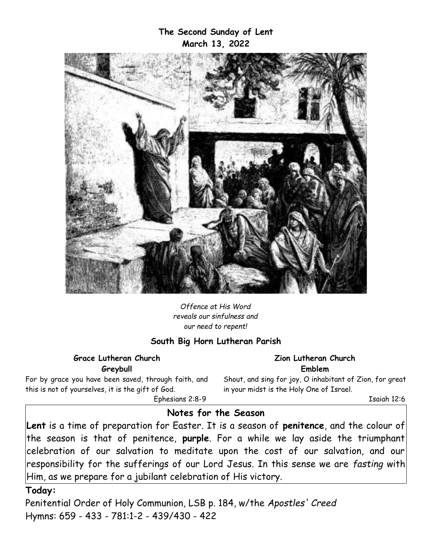## **The Second Sunday of Lent March 13, 2022**



*Offence at His Word reveals our sinfulness and our need to repent!*

### **South Big Horn Lutheran Parish**

**Grace Lutheran Church Greybull**

For by grace you have been saved, through faith, and this is not of yourselves, it is the gift of God. Ephesians 2:8-9

**Zion Lutheran Church Emblem**

Shout, and sing for joy, O inhabitant of Zion, for great in your midst is the Holy One of Israel.

Isaiah 12:6

### **Notes for the Season**

**Lent** is a time of preparation for Easter. It is a season of **penitence**, and the colour of the season is that of penitence, **purple**. For a while we lay aside the triumphant celebration of our salvation to meditate upon the cost of our salvation, and our responsibility for the sufferings of our Lord Jesus. In this sense we are *fasting* with Him, as we prepare for a jubilant celebration of His victory.

#### **Today:**

Penitential Order of Holy Communion, LSB p. 184, w/the *Apostles' Creed* Hymns: 659 - 433 - 781:1-2 - 439/430 - 422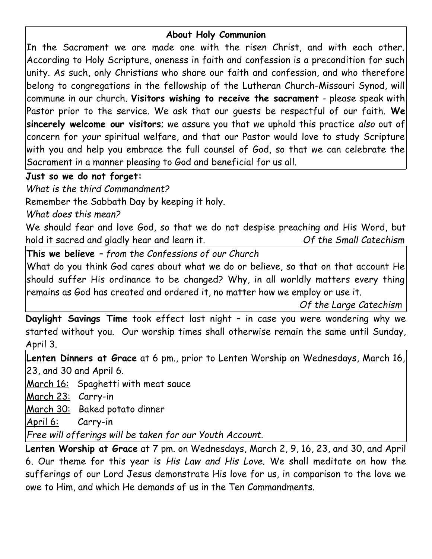## **About Holy Communion**

In the Sacrament we are made one with the risen Christ, and with each other. According to Holy Scripture, oneness in faith and confession is a precondition for such unity. As such, only Christians who share our faith and confession, and who therefore belong to congregations in the fellowship of the Lutheran Church-Missouri Synod, will commune in our church. **Visitors wishing to receive the sacrament** - please speak with Pastor prior to the service. We ask that our guests be respectful of our faith. **We sincerely welcome our visitors**; we assure you that we uphold this practice *also* out of concern for *your* spiritual welfare, and that our Pastor would love to study Scripture with you and help you embrace the full counsel of God, so that we can celebrate the Sacrament in a manner pleasing to God and beneficial for us all.

# **Just so we do not forget:**

*What is the third Commandment?*

Remember the Sabbath Day by keeping it holy.

*What does this mean?*

We should fear and love God, so that we do not despise preaching and His Word, but hold it sacred and gladly hear and learn it. *Of the Small Catechism*

**This we believe** *– from the Confessions of our Church*

What do you think God cares about what we do or believe, so that on that account He should suffer His ordinance to be changed? Why, in all worldly matters every thing remains as God has created and ordered it, no matter how we employ or use it.

*Of the Large Catechism*

**Daylight Savings Time** took effect last night – in case you were wondering why we started without you. Our worship times shall otherwise remain the same until Sunday, April 3.

**Lenten Dinners at Grace** at 6 pm., prior to Lenten Worship on Wednesdays, March 16, 23, and 30 and April 6.

March 16: Spaghetti with meat sauce

March 23: Carry-in

March 30: Baked potato dinner

April 6: Carry-in

*Free will offerings will be taken for our Youth Account.*

**Lenten Worship at Grace** at 7 pm. on Wednesdays, March 2, 9, 16, 23, and 30, and April 6. Our theme for this year is *His Law and His Love.* We shall meditate on how the sufferings of our Lord Jesus demonstrate His love for us, in comparison to the love we owe to Him, and which He demands of us in the Ten Commandments.